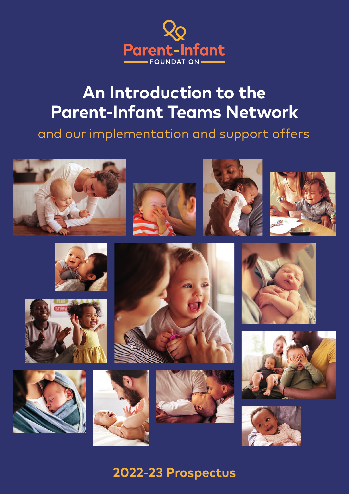

# **An Introduction to the Parent-Infant Teams Network**

and our implementation and support offers



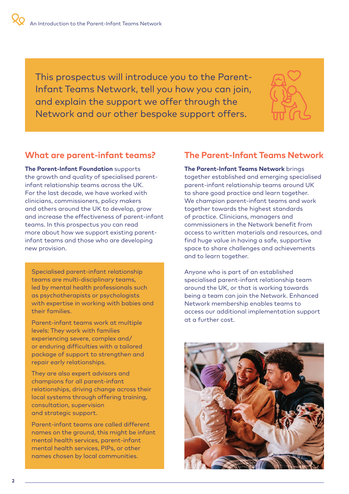This prospectus will introduce you to the Parent-Infant Teams Network, tell you how you can join, and explain the support we offer through the Network and our other bespoke support offers.



### **What are parent-infant teams?**

**The Parent-Infant Foundation** supports the growth and quality of specialised parentinfant relationship teams across the UK. For the last decade, we have worked with clinicians, commissioners, policy makers and others around the UK to develop, grow and increase the effectiveness of parent-infant teams. In this prospectus you can read more about how we support existing parentinfant teams and those who are developing new provision.

Specialised parent-infant relationship teams are multi-disciplinary teams, led by mental health professionals such as psychotherapists or psychologists with expertise in working with babies and their families.

Parent-infant teams work at multiple levels: They work with families experiencing severe, complex and/ or enduring difficulties with a tailored package of support to strengthen and repair early relationships.

They are also expert advisors and champions for all parent-infant relationships, driving change across their local systems through offering training, consultation, supervision and strategic support.

Parent-infant teams are called different names on the ground, this might be infant mental health services, parent-infant mental health services, PIPs, or other names chosen by local communities.

### **The Parent-Infant Teams Network**

**The Parent-Infant Teams Network** brings together established and emerging specialised parent-infant relationship teams around UK to share good practice and learn together. We champion parent-infant teams and work together towards the highest standards of practice. Clinicians, managers and commissioners in the Network benefit from access to written materials and resources, and find huge value in having a safe, supportive space to share challenges and achievements and to learn together.

Anyone who is part of an established specialised parent-infant relationship team around the UK, or that is working towards being a team can join the Network. Enhanced Network membership enables teams to access our additional implementation support at a further cost.

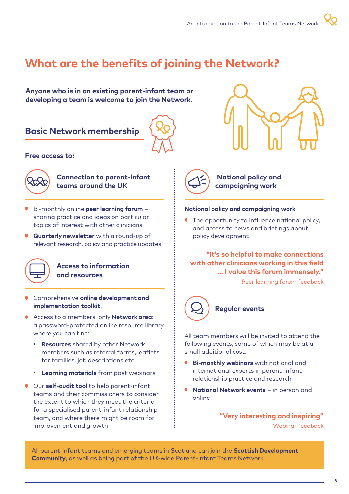## **What are the benefits of joining the Network?**

**Anyone who is in an existing parent-infant team or developing a team is welcome to join the Network.**

### **Basic Network membership**



#### **Free access to:**



### **Connection to parent-infant teams around the UK**

- Bi-monthly online **peer learning forum** sharing practice and ideas on particular topics of interest with other clinicians
- **Quarterly newsletter** with a round-up of relevant research, policy and practice updates



#### **Access to information and resources**

- Comprehensive **online development and implementation toolkit**.
- Access to a members' only **Network area**: a password-protected online resource library where you can find:
	- **Resources** shared by other Network members such as referral forms, leaflets for families, job descriptions etc.
	- **Learning materials** from past webinars
- Our **self-audit tool** to help parent-infant teams and their commissioners to consider the extent to which they meet the criteria for a specialised parent-infant relationship team, and where there might be room for improvement and growth



**National policy and campaigning work** 

#### **National policy and campaigning work**

The opportunity to influence national policy, and access to news and briefings about policy development

**"It's so helpful to make connections with other clinicians working in this field ... I value this forum immensely."** 

Peer learning forum feedback



### **Regular events**

All team members will be invited to attend the following events, some of which may be at a small additional cost:

- **Bi-monthly webinars** with national and international experts in parent-infant relationship practice and research
- **National Network events** in person and online

**"Very interesting and inspiring"**  Webinar feedback

All parent-infant teams and emerging teams in Scotland can join the **Scottish Development Community**, as well as being part of the UK-wide Parent-Infant Teams Network.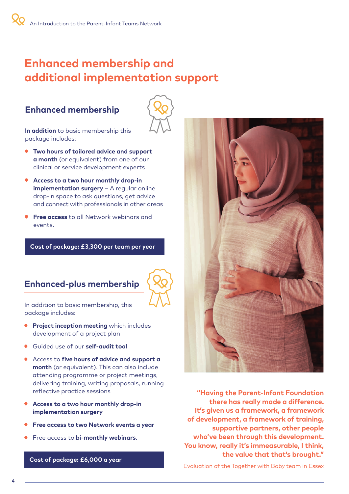## **Enhanced membership and additional implementation support**

### **Enhanced membership**



**In addition** to basic membership this package includes:

- **Two hours of tailored advice and support a month** (or equivalent) from one of our clinical or service development experts
- **Access to a two hour monthly drop-in implementation surgery** – A regular online drop-in space to ask questions, get advice and connect with professionals in other areas
- **Free access** to all Network webinars and events.

#### **Cost of package: £3,300 per team per year**

### **Enhanced-plus membership**



In addition to basic membership, this package includes:

- **Project inception meeting** which includes development of a project plan
- Guided use of our **self-audit tool**
- Access to **five hours of advice and support a month** (or equivalent). This can also include attending programme or project meetings, delivering training, writing proposals, running reflective practice sessions
- **Access to a two hour monthly drop-in implementation surgery**
- **Free access to two Network events a year**
- Free access to **bi-monthly webinars**.

**Cost of package: £6,000 a year** 



**"Having the Parent-Infant Foundation there has really made a difference. It's given us a framework, a framework of development, a framework of training, supportive partners, other people who've been through this development. You know, really it's immeasurable, I think, the value that that's brought."**

Evaluation of the Together with Baby team in Essex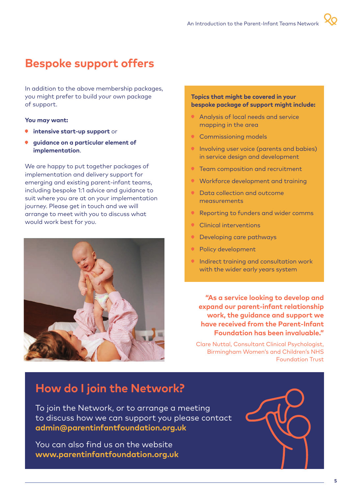## **Bespoke support offers**

In addition to the above membership packages, you might prefer to build your own package of support.

#### **You may want:**

- **intensive start-up support** or
- **guidance on a particular element of**   $\bullet$ **implementation**.

We are happy to put together packages of implementation and delivery support for emerging and existing parent-infant teams, including bespoke 1:1 advice and guidance to suit where you are at on your implementation journey. Please get in touch and we will arrange to meet with you to discuss what would work best for you.



#### **Topics that might be covered in your bespoke package of support might include:**

- Analysis of local needs and service mapping in the area
- **Commissioning models**
- **Involving user voice (parents and babies)** in service design and development
- **Team composition and recruitment**
- Workforce development and training
- Data collection and outcome measurements
- Reporting to funders and wider comms
- Clinical interventions
- Developing care pathways
- Policy development
- **Indirect training and consultation work** with the wider early years system

**"As a service looking to develop and expand our parent-infant relationship work, the guidance and support we have received from the Parent-Infant Foundation has been invaluable."**

Clare Nuttal, Consultant Clinical Psychologist, Birmingham Women's and Children's NHS Foundation Trust

## **How do I join the Network?**

To join the Network, or to arrange a meeting to discuss how we can support you please contact **admin@parentinfantfoundation.org.uk**

You can also find us [on the website](https://parentinfantfoundation.org.uk/about-us/people/)  **www.parentinfantfoundation.org.uk**